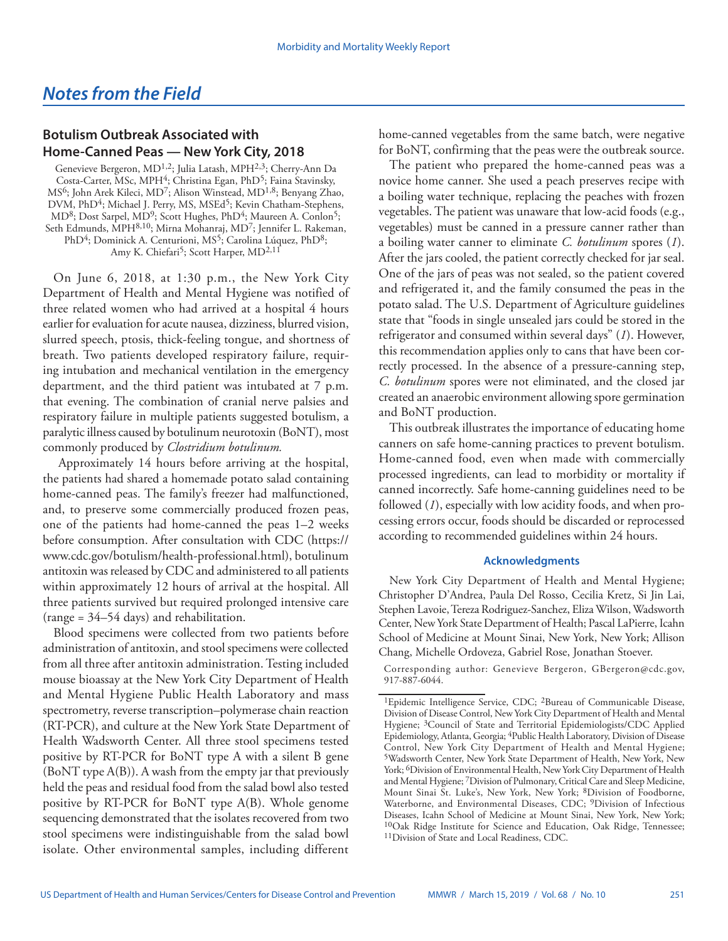## *Notes from the Field*

## **Botulism Outbreak Associated with Home-Canned Peas — New York City, 2018**

Genevieve Bergeron, MD<sup>1,2</sup>; Julia Latash, MPH<sup>2,3</sup>; Cherry-Ann Da Costa-Carter, MSc, MPH<sup>4</sup>; Christina Egan, PhD<sup>5</sup>; Faina Stavinsky, MS6; John Arek Kileci, MD7; Alison Winstead, MD1,8; Benyang Zhao, DVM, PhD<sup>4</sup>; Michael J. Perry, MS, MSEd<sup>5</sup>; Kevin Chatham-Stephens, MD<sup>8</sup>; Dost Sarpel, MD<sup>9</sup>; Scott Hughes, PhD<sup>4</sup>; Maureen A. Conlon<sup>5</sup>; Seth Edmunds, MPH<sup>8,10</sup>; Mirna Mohanraj, MD<sup>7</sup>; Jennifer L. Rakeman, PhD<sup>4</sup>; Dominick A. Centurioni, MS<sup>5</sup>; Carolina Lúquez, PhD<sup>8</sup>; Amy K. Chiefari<sup>5</sup>; Scott Harper, MD<sup>2,11</sup>

On June 6, 2018, at 1:30 p.m., the New York City Department of Health and Mental Hygiene was notified of three related women who had arrived at a hospital 4 hours earlier for evaluation for acute nausea, dizziness, blurred vision, slurred speech, ptosis, thick-feeling tongue, and shortness of breath. Two patients developed respiratory failure, requiring intubation and mechanical ventilation in the emergency department, and the third patient was intubated at 7 p.m. that evening. The combination of cranial nerve palsies and respiratory failure in multiple patients suggested botulism, a paralytic illness caused by botulinum neurotoxin (BoNT), most commonly produced by *Clostridium botulinum.*

 Approximately 14 hours before arriving at the hospital, the patients had shared a homemade potato salad containing home-canned peas. The family's freezer had malfunctioned, and, to preserve some commercially produced frozen peas, one of the patients had home-canned the peas 1–2 weeks before consumption. After consultation with CDC ([https://](https://www.cdc.gov/botulism/health-professional.html) [www.cdc.gov/botulism/health-professional.html\)](https://www.cdc.gov/botulism/health-professional.html), botulinum antitoxin was released by CDC and administered to all patients within approximately 12 hours of arrival at the hospital. All three patients survived but required prolonged intensive care (range = 34–54 days) and rehabilitation.

Blood specimens were collected from two patients before administration of antitoxin, and stool specimens were collected from all three after antitoxin administration. Testing included mouse bioassay at the New York City Department of Health and Mental Hygiene Public Health Laboratory and mass spectrometry, reverse transcription–polymerase chain reaction (RT-PCR), and culture at the New York State Department of Health Wadsworth Center. All three stool specimens tested positive by RT-PCR for BoNT type A with a silent B gene (BoNT type A(B)). A wash from the empty jar that previously held the peas and residual food from the salad bowl also tested positive by RT-PCR for BoNT type A(B). Whole genome sequencing demonstrated that the isolates recovered from two stool specimens were indistinguishable from the salad bowl isolate. Other environmental samples, including different

home-canned vegetables from the same batch, were negative for BoNT, confirming that the peas were the outbreak source.

The patient who prepared the home-canned peas was a novice home canner. She used a peach preserves recipe with a boiling water technique, replacing the peaches with frozen vegetables. The patient was unaware that low-acid foods (e.g., vegetables) must be canned in a pressure canner rather than a boiling water canner to eliminate *C. botulinum* spores (*1*). After the jars cooled, the patient correctly checked for jar seal. One of the jars of peas was not sealed, so the patient covered and refrigerated it, and the family consumed the peas in the potato salad. The U.S. Department of Agriculture guidelines state that "foods in single unsealed jars could be stored in the refrigerator and consumed within several days" (*1*). However, this recommendation applies only to cans that have been correctly processed. In the absence of a pressure-canning step, *C. botulinum* spores were not eliminated, and the closed jar created an anaerobic environment allowing spore germination and BoNT production.

This outbreak illustrates the importance of educating home canners on safe home-canning practices to prevent botulism. Home-canned food, even when made with commercially processed ingredients, can lead to morbidity or mortality if canned incorrectly. Safe home-canning guidelines need to be followed (*1*), especially with low acidity foods, and when processing errors occur, foods should be discarded or reprocessed according to recommended guidelines within 24 hours.

## **Acknowledgments**

New York City Department of Health and Mental Hygiene; Christopher D'Andrea, Paula Del Rosso, Cecilia Kretz, Si Jin Lai, Stephen Lavoie, Tereza Rodriguez-Sanchez, Eliza Wilson, Wadsworth Center, New York State Department of Health; Pascal LaPierre, Icahn School of Medicine at Mount Sinai, New York, New York; Allison Chang, Michelle Ordoveza, Gabriel Rose, Jonathan Stoever.

Corresponding author: Genevieve Bergeron, [GBergeron@cdc.gov,](mailto:GBergeron@cdc.gov) 917-887-6044.

<sup>&</sup>lt;sup>1</sup>Epidemic Intelligence Service, CDC; <sup>2</sup>Bureau of Communicable Disease, Division of Disease Control, New York City Department of Health and Mental Hygiene; 3Council of State and Territorial Epidemiologists/CDC Applied Epidemiology, Atlanta, Georgia; 4Public Health Laboratory, Division of Disease Control, New York City Department of Health and Mental Hygiene; 5Wadsworth Center, New York State Department of Health, New York, New York; 6Division of Environmental Health, New York City Department of Health and Mental Hygiene; 7Division of Pulmonary, Critical Care and Sleep Medicine, Mount Sinai St. Luke's, New York, New York; 8Division of Foodborne, Waterborne, and Environmental Diseases, CDC; <sup>9</sup>Division of Infectious Diseases, Icahn School of Medicine at Mount Sinai, New York, New York; <sup>10</sup>Oak Ridge Institute for Science and Education, Oak Ridge, Tennessee; 11Division of State and Local Readiness, CDC.